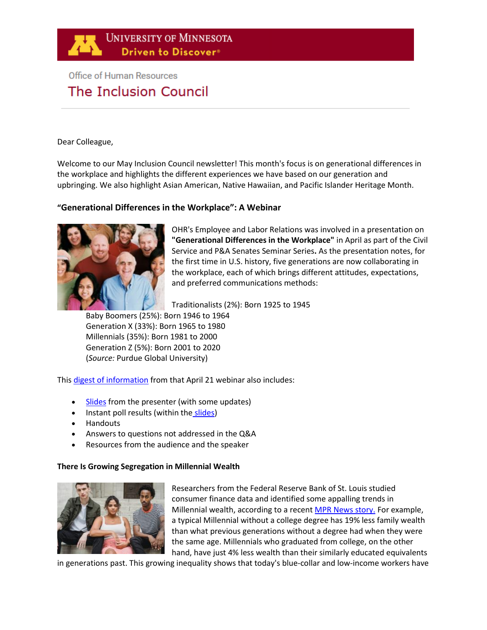

# **Office of Human Resources** The Inclusion Council

Dear Colleague,

Welcome to our May Inclusion Council newsletter! This month's focus is on generational differences in the workplace and highlights the different experiences we have based on our generation and upbringing. We also highlight Asian American, Native Hawaiian, and Pacific Islander Heritage Month.

# **"Generational Differences in the Workplace": A Webinar**



OHR's Employee and Labor Relations was involved in a presentation on **["Generational Differences in the Workplace"](https://www.youtube.com/watch?v=IhEs8apjw5I)** in April as part of the Civil Service and P&A Senates Seminar Series**.** As the presentation notes, for the first time in U.S. history, five generations are now collaborating in the workplace, each of which brings different attitudes, expectations, and preferred communications methods:

Traditionalists (2%): Born 1925 to 1945

Baby Boomers (25%): Born 1946 to 1964 Generation X (33%): Born 1965 to 1980 Millennials (35%): Born 1981 to 2000 Generation Z (5%): Born 2001 to 2020 (*Source:* Purdue Global University)

Thi[s digest of information](https://z.umn.edu/CSPA-Apr2021Seminar) from that April 21 webinar also includes:

- [Slides](https://z.umn.edu/AprilWorkforceSlides) from the presenter (with some updates)
- Instant poll r[e](https://z.umn.edu/AprilWorkforceSlides)sults (within the [slides\)](https://z.umn.edu/AprilWorkforceSlides)
- Handouts
- Answers to questions not addressed in the Q&A
- Resources from the audience and the speaker

# **There Is Growing Segregation in Millennial Wealth**



Researchers from the Federal Reserve Bank of St. Louis studied consumer finance data and identified some appalling trends in Millennial wealth, according to a recen[t MPR News story.](https://www.mprnews.org/story/2021/04/27/npr-there-is-growing-segregation-in-millennial-wealth) For example, a typical Millennial without a college degree has 19% less family wealth than what previous generations without a degree had when they were the same age. Millennials who graduated from college, on the other hand, have just 4% less wealth than their similarly educated equivalents

in generations past. This growing inequality shows that today's blue-collar and low-income workers have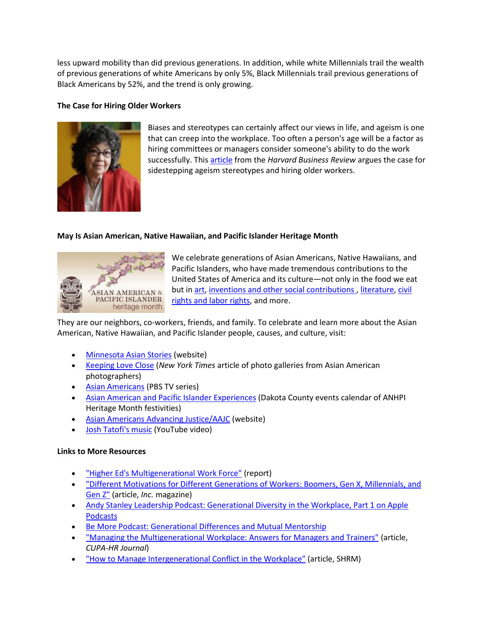less upward mobility than did previous generations. In addition, while white Millennials trail the wealth of previous generations of white Americans by only 5%, Black Millennials trail previous generations of Black Americans by 52%, and the trend is only growing.

# **The Case for Hiring Older Workers**



Biases and stereotypes can certainly affect our views in life, and ageism is one that can creep into the workplace. Too often a person's age will be a factor as hiring committees or managers consider someone's ability to do the work successfully. This [article](https://hbr.org/2019/09/the-case-for-hiring-older-workers) from the *Harvard Business Review* argues the case for sidestepping ageism stereotypes and hiring older workers.

# **May Is Asian American, Native Hawaiian, and Pacific Islander Heritage Month**



We celebrate generations of Asian Americans, Native Hawaiians, and Pacific Islanders, who have made tremendous contributions to the United States of America and its culture—not only in the food we eat but i[n art,](https://www.si.edu/spotlight/asian-american-arts-artists) [inventions and other social contributions ,](https://www.history.com/news/asian-american-inventions-contributions) [literature,](https://www.latimes.com/entertainment-arts/books/story/2021-03-25/best-asian-american-books-memoirs-fiction-aapi-authors) [civil](https://www.biography.com/news/asian-american-pacific-islander-activists)  [rights and labor rights,](https://www.biography.com/news/asian-american-pacific-islander-activists) and more.

They are our neighbors, co-workers, friends, and family. To celebrate and learn more about the Asian American, Native Hawaiian, and Pacific Islander people, causes, and culture, visit:

- [Minnesota Asian Stories](https://caalmn.org/minneasianstories/?emci=9c91fe41-d5ac-eb11-85aa-0050f237abef&emdi=b9d250c7-f1ac-eb11-85aa-0050f237abef&ceid=7437064) (website)
- [Keeping Love Close](https://www.nytimes.com/interactive/2021/04/08/arts/asian-american-photos-love.html) (*New York Times* article of photo galleries from Asian American photographers)
- [Asian Americans](https://www.pbs.org/show/asian-americans/) (PBS TV series)
- [Asian American and Pacific Islander Experiences](https://www.co.dakota.mn.us/libraries/Programs/Everyone/Pages/asian-american-pacific-islander-experiences.aspx?emci=9c91fe41-d5ac-eb11-85aa-0050f237abef&emdi=b9d250c7-f1ac-eb11-85aa-0050f237abef&ceid=7437064) (Dakota County events calendar of ANHPI Heritage Month festivities)
- [Asian Americans Advancing Justice/AAJC](https://advancingjustice-aajc.org/) (website)
- [Josh Tatofi's music](https://www.youtube.com/watch?v=ek8qYTzYmE4) (YouTube video)

# **Links to More Resources**

- ["Higher Ed's Multigenerational Work Force"](https://www.northcentralcollege.edu/sites/default/files/2021-03/Higher%20Ed%20Generation%20Chronicle%20article.pdf) (report)
- ["Different Motivations for Different Generations of Workers: Boomers, Gen X, Millennials, and](https://www.inc.com/john-rampton/different-motivations-for-different-generations-of-workers-boomers-gen-x-millennials-gen-z.html)  [Gen Z"](https://www.inc.com/john-rampton/different-motivations-for-different-generations-of-workers-boomers-gen-x-millennials-gen-z.html) (article, *Inc.* magazine)
- Andy Stanley Leadership Podcast: Generational Diversity in the Workplace, Part 1 on Apple [Podcasts](https://podcasts.apple.com/us/podcast/generational-diversity-in-the-workplace-part-1/id290055666?i=1000434241109)
- Be More Podcast: [Generational Differences and Mutual Mentorship](https://peakon.com/fr/podcast/be-more-podcast-generational-differences-and-mutual-mentorship/)
- ["Managing the Multigenerational Workplace: Answers for Managers and Trainers"](https://www.cupahr.org/hew/files/CUPA-HR-Journal-Vol58No1.pdf) (article, *CUPA-HR Journal*)
- ["How to Manage Intergenerational Conflict in the Workplace"](https://www.shrm.org/resourcesandtools/hr-topics/employee-relations/pages/how-to-manage-intergenerational-conflict-in-the-workplace.aspx) (article, SHRM)